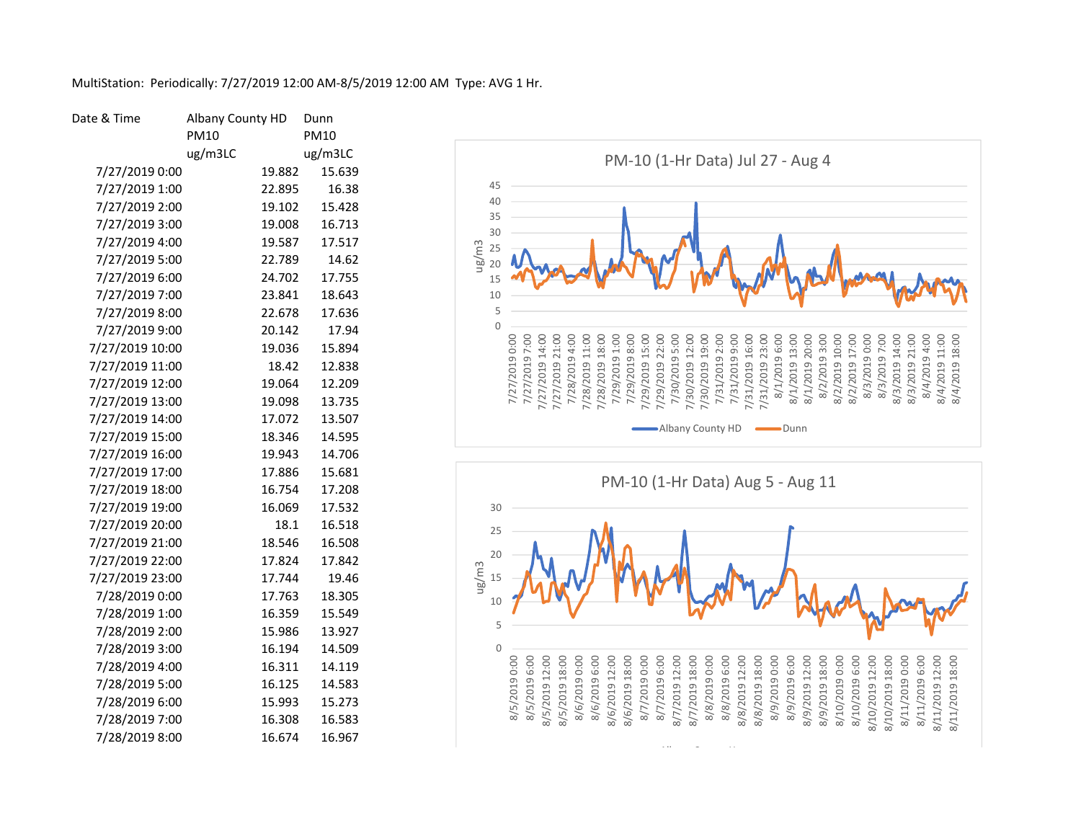| Date & Time     | Albany County HD | Dunn        |
|-----------------|------------------|-------------|
|                 | PM10             | <b>PM10</b> |
|                 | ug/m3LC          | ug/m3LC     |
| 7/27/2019 0:00  | 19.882           | 15.639      |
| 7/27/2019 1:00  | 22.895           | 16.38       |
| 7/27/2019 2:00  | 19.102           | 15.428      |
| 7/27/2019 3:00  | 19.008           | 16.713      |
| 7/27/2019 4:00  | 19.587           | 17.517      |
| 7/27/2019 5:00  | 22.789           | 14.62       |
| 7/27/2019 6:00  | 24.702           | 17.755      |
| 7/27/2019 7:00  | 23.841           | 18.643      |
| 7/27/2019 8:00  | 22.678           | 17.636      |
| 7/27/2019 9:00  | 20.142           | 17.94       |
| 7/27/2019 10:00 | 19.036           | 15.894      |
| 7/27/2019 11:00 | 18.42            | 12.838      |
| 7/27/2019 12:00 | 19.064           | 12.209      |
| 7/27/2019 13:00 | 19.098           | 13.735      |
| 7/27/2019 14:00 | 17.072           | 13.507      |
| 7/27/2019 15:00 | 18.346           | 14.595      |
| 7/27/2019 16:00 | 19.943           | 14.706      |
| 7/27/2019 17:00 | 17.886           | 15.681      |
| 7/27/2019 18:00 | 16.754           | 17.208      |
| 7/27/2019 19:00 | 16.069           | 17.532      |
| 7/27/2019 20:00 | 18.1             | 16.518      |
| 7/27/2019 21:00 | 18.546           | 16.508      |
| 7/27/2019 22:00 | 17.824           | 17.842      |
| 7/27/2019 23:00 | 17.744           | 19.46       |
| 7/28/2019 0:00  | 17.763           | 18.305      |
| 7/28/2019 1:00  | 16.359           | 15.549      |
| 7/28/2019 2:00  | 15.986           | 13.927      |
| 7/28/2019 3:00  | 16.194           | 14.509      |
| 7/28/2019 4:00  | 16.311           | 14.119      |
| 7/28/2019 5:00  | 16.125           | 14.583      |
| 7/28/2019 6:00  | 15.993           | 15.273      |
| 7/28/2019 7:00  | 16.308           | 16.583      |
| 7/28/2019 8:00  | 16.674           | 16.967      |

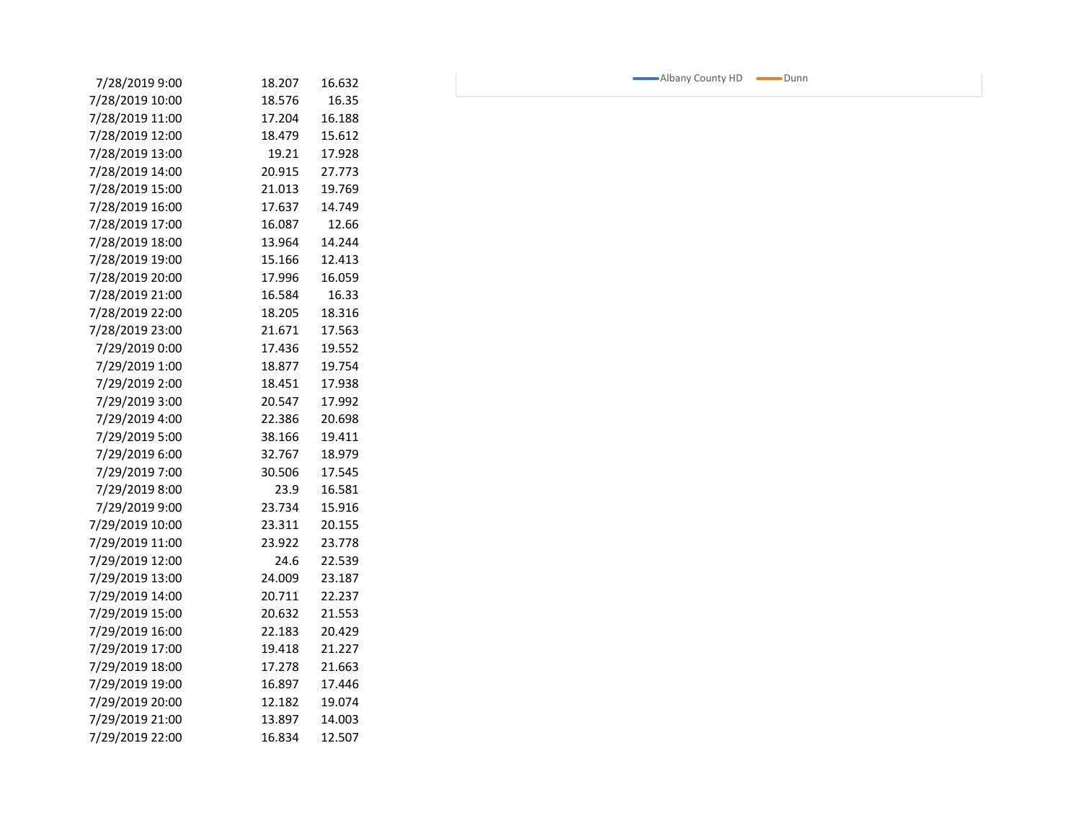| 7/28/2019 9:00  | 18.207 | 16.632 |  |
|-----------------|--------|--------|--|
| 7/28/2019 10:00 | 18.576 | 16.35  |  |
| 7/28/2019 11:00 | 17.204 | 16.188 |  |
| 7/28/2019 12:00 | 18.479 | 15.612 |  |
| 7/28/2019 13:00 | 19.21  | 17.928 |  |
| 7/28/2019 14:00 | 20.915 | 27.773 |  |
| 7/28/2019 15:00 | 21.013 | 19.769 |  |
| 7/28/2019 16:00 | 17.637 | 14.749 |  |
| 7/28/2019 17:00 | 16.087 | 12.66  |  |
| 7/28/2019 18:00 | 13.964 | 14.244 |  |
| 7/28/2019 19:00 | 15.166 | 12.413 |  |
| 7/28/2019 20:00 | 17.996 | 16.059 |  |
| 7/28/2019 21:00 | 16.584 | 16.33  |  |
| 7/28/2019 22:00 | 18.205 | 18.316 |  |
| 7/28/2019 23:00 | 21.671 | 17.563 |  |
| 7/29/2019 0:00  | 17.436 | 19.552 |  |
| 7/29/2019 1:00  | 18.877 | 19.754 |  |
| 7/29/2019 2:00  | 18.451 | 17.938 |  |
| 7/29/2019 3:00  | 20.547 | 17.992 |  |
| 7/29/2019 4:00  | 22.386 | 20.698 |  |
| 7/29/2019 5:00  | 38.166 | 19.411 |  |
| 7/29/2019 6:00  | 32.767 | 18.979 |  |
| 7/29/2019 7:00  | 30.506 | 17.545 |  |
| 7/29/2019 8:00  | 23.9   | 16.581 |  |
| 7/29/2019 9:00  | 23.734 | 15.916 |  |
| 7/29/2019 10:00 | 23.311 | 20.155 |  |
| 7/29/2019 11:00 | 23.922 | 23.778 |  |
| 7/29/2019 12:00 | 24.6   | 22.539 |  |
| 7/29/2019 13:00 | 24.009 | 23.187 |  |
| 7/29/2019 14:00 | 20.711 | 22.237 |  |
| 7/29/2019 15:00 | 20.632 | 21.553 |  |
| 7/29/2019 16:00 | 22.183 | 20.429 |  |
| 7/29/2019 17:00 | 19.418 | 21.227 |  |
| 7/29/2019 18:00 | 17.278 | 21.663 |  |
| 7/29/2019 19:00 | 16.897 | 17.446 |  |
| 7/29/2019 20:00 | 12.182 | 19.074 |  |
| 7/29/2019 21:00 | 13.897 | 14.003 |  |
| 7/29/2019 22:00 | 16.834 | 12.507 |  |

Albany County HD Dunn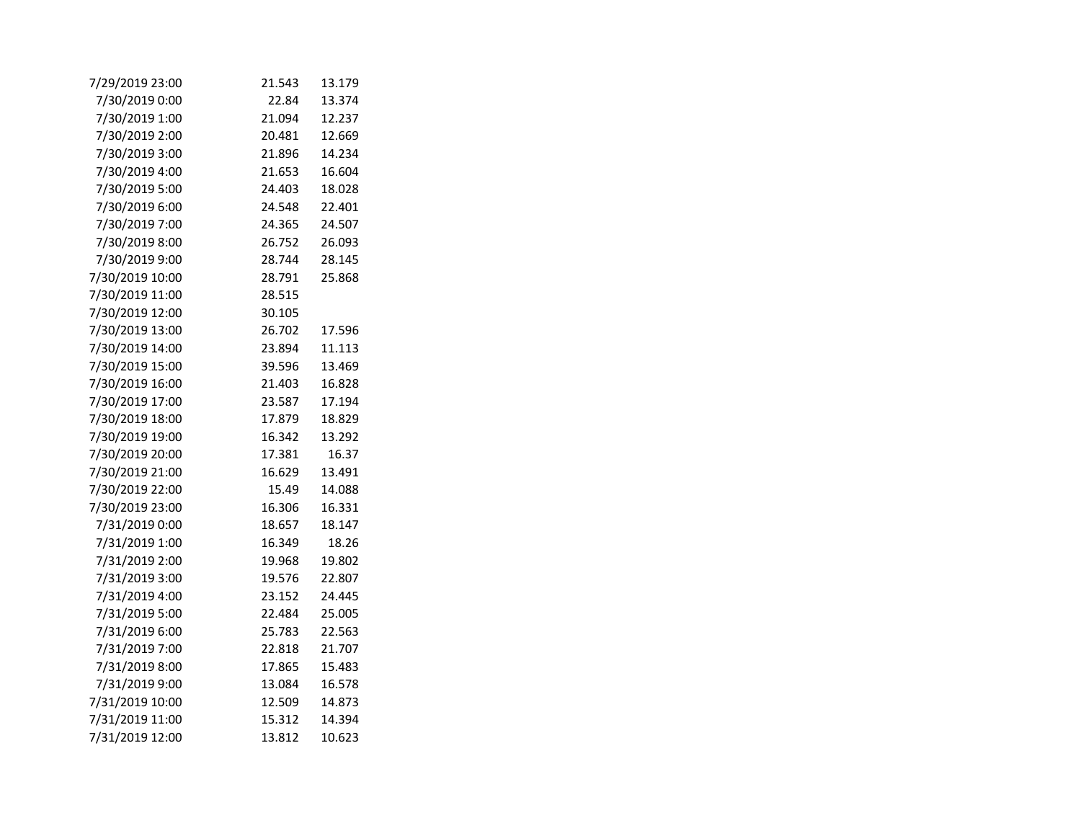| 7/29/2019 23:00 | 21.543 | 13.179 |
|-----------------|--------|--------|
| 7/30/2019 0:00  | 22.84  | 13.374 |
| 7/30/2019 1:00  | 21.094 | 12.237 |
| 7/30/2019 2:00  | 20.481 | 12.669 |
| 7/30/2019 3:00  | 21.896 | 14.234 |
| 7/30/2019 4:00  | 21.653 | 16.604 |
| 7/30/2019 5:00  | 24.403 | 18.028 |
| 7/30/2019 6:00  | 24.548 | 22.401 |
| 7/30/2019 7:00  | 24.365 | 24.507 |
| 7/30/2019 8:00  | 26.752 | 26.093 |
| 7/30/2019 9:00  | 28.744 | 28.145 |
| 7/30/2019 10:00 | 28.791 | 25.868 |
| 7/30/2019 11:00 | 28.515 |        |
| 7/30/2019 12:00 | 30.105 |        |
| 7/30/2019 13:00 | 26.702 | 17.596 |
| 7/30/2019 14:00 | 23.894 | 11.113 |
| 7/30/2019 15:00 | 39.596 | 13.469 |
| 7/30/2019 16:00 | 21.403 | 16.828 |
| 7/30/2019 17:00 | 23.587 | 17.194 |
| 7/30/2019 18:00 | 17.879 | 18.829 |
| 7/30/2019 19:00 | 16.342 | 13.292 |
| 7/30/2019 20:00 | 17.381 | 16.37  |
| 7/30/2019 21:00 | 16.629 | 13.491 |
| 7/30/2019 22:00 | 15.49  | 14.088 |
| 7/30/2019 23:00 | 16.306 | 16.331 |
| 7/31/2019 0:00  | 18.657 | 18.147 |
| 7/31/2019 1:00  | 16.349 | 18.26  |
| 7/31/2019 2:00  | 19.968 | 19.802 |
| 7/31/2019 3:00  | 19.576 | 22.807 |
| 7/31/2019 4:00  | 23.152 | 24.445 |
| 7/31/2019 5:00  | 22.484 | 25.005 |
| 7/31/2019 6:00  | 25.783 | 22.563 |
| 7/31/2019 7:00  | 22.818 | 21.707 |
| 7/31/2019 8:00  | 17.865 | 15.483 |
| 7/31/2019 9:00  | 13.084 | 16.578 |
| 7/31/2019 10:00 | 12.509 | 14.873 |
| 7/31/2019 11:00 | 15.312 | 14.394 |
| 7/31/2019 12:00 | 13.812 | 10.623 |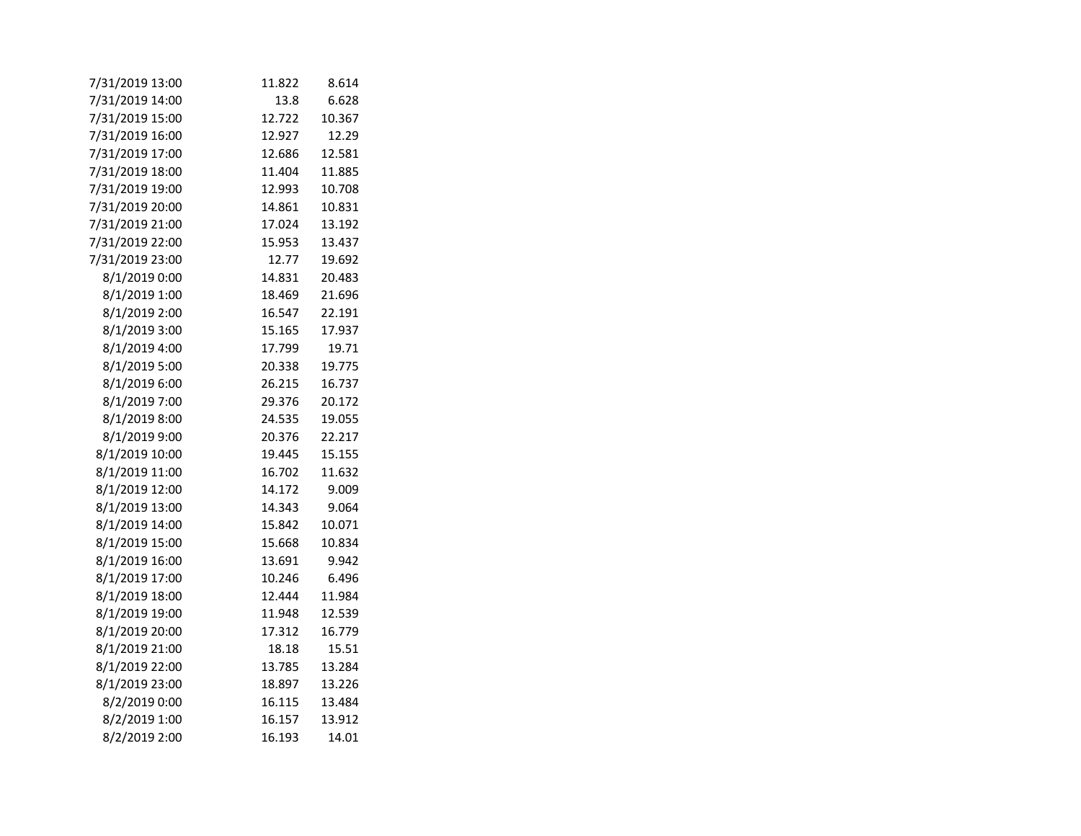| 7/31/2019 13:00 | 11.822 | 8.614  |
|-----------------|--------|--------|
| 7/31/2019 14:00 | 13.8   | 6.628  |
| 7/31/2019 15:00 | 12.722 | 10.367 |
| 7/31/2019 16:00 | 12.927 | 12.29  |
| 7/31/2019 17:00 | 12.686 | 12.581 |
| 7/31/2019 18:00 | 11.404 | 11.885 |
| 7/31/2019 19:00 | 12.993 | 10.708 |
| 7/31/2019 20:00 | 14.861 | 10.831 |
| 7/31/2019 21:00 | 17.024 | 13.192 |
| 7/31/2019 22:00 | 15.953 | 13.437 |
| 7/31/2019 23:00 | 12.77  | 19.692 |
| 8/1/2019 0:00   | 14.831 | 20.483 |
| 8/1/2019 1:00   | 18.469 | 21.696 |
| 8/1/2019 2:00   | 16.547 | 22.191 |
| 8/1/2019 3:00   | 15.165 | 17.937 |
| 8/1/2019 4:00   | 17.799 | 19.71  |
| 8/1/2019 5:00   | 20.338 | 19.775 |
| 8/1/2019 6:00   | 26.215 | 16.737 |
| 8/1/2019 7:00   | 29.376 | 20.172 |
| 8/1/2019 8:00   | 24.535 | 19.055 |
| 8/1/2019 9:00   | 20.376 | 22.217 |
| 8/1/2019 10:00  | 19.445 | 15.155 |
| 8/1/2019 11:00  | 16.702 | 11.632 |
| 8/1/2019 12:00  | 14.172 | 9.009  |
| 8/1/2019 13:00  | 14.343 | 9.064  |
| 8/1/2019 14:00  | 15.842 | 10.071 |
| 8/1/2019 15:00  | 15.668 | 10.834 |
| 8/1/2019 16:00  | 13.691 | 9.942  |
| 8/1/2019 17:00  | 10.246 | 6.496  |
| 8/1/2019 18:00  | 12.444 | 11.984 |
| 8/1/2019 19:00  | 11.948 | 12.539 |
| 8/1/2019 20:00  | 17.312 | 16.779 |
| 8/1/2019 21:00  | 18.18  | 15.51  |
| 8/1/2019 22:00  | 13.785 | 13.284 |
| 8/1/2019 23:00  | 18.897 | 13.226 |
| 8/2/2019 0:00   | 16.115 | 13.484 |
| 8/2/2019 1:00   | 16.157 | 13.912 |
| 8/2/2019 2:00   | 16.193 | 14.01  |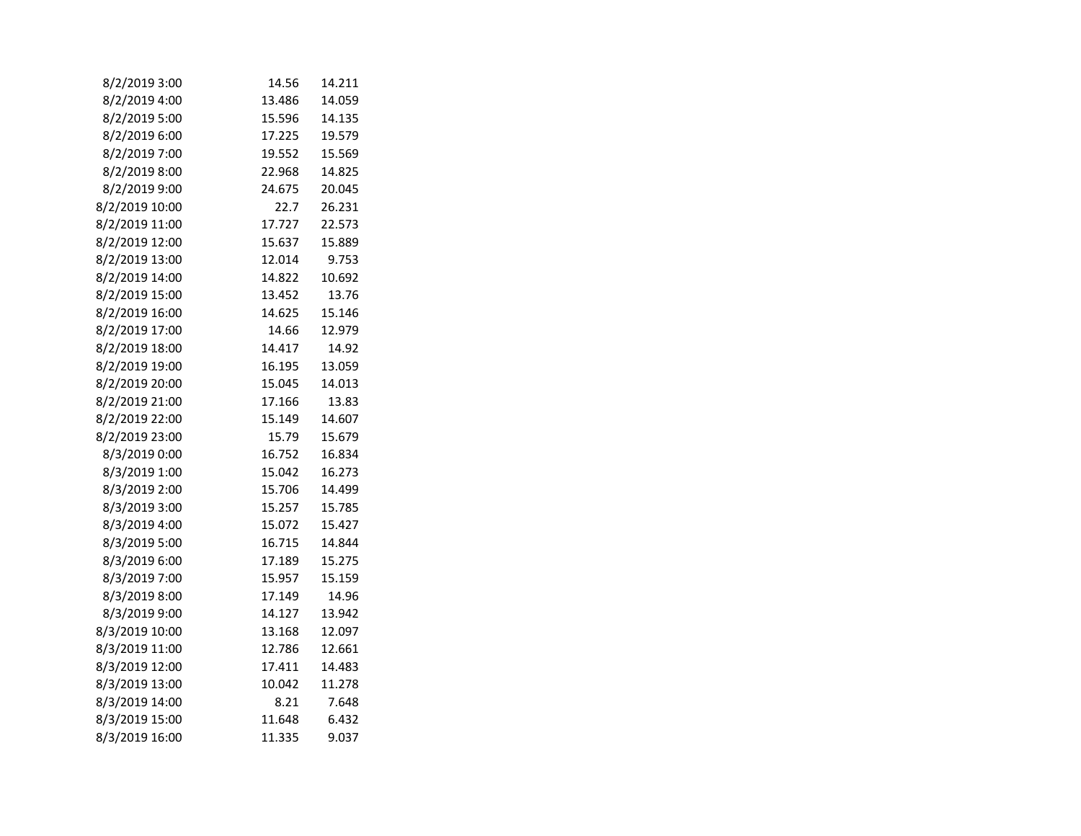| 8/2/2019 3:00  | 14.56  | 14.211 |  |
|----------------|--------|--------|--|
| 8/2/2019 4:00  | 13.486 | 14.059 |  |
| 8/2/2019 5:00  | 15.596 | 14.135 |  |
| 8/2/2019 6:00  | 17.225 | 19.579 |  |
| 8/2/2019 7:00  | 19.552 | 15.569 |  |
| 8/2/2019 8:00  | 22.968 | 14.825 |  |
| 8/2/2019 9:00  | 24.675 | 20.045 |  |
| 8/2/2019 10:00 | 22.7   | 26.231 |  |
| 8/2/2019 11:00 | 17.727 | 22.573 |  |
| 8/2/2019 12:00 | 15.637 | 15.889 |  |
| 8/2/2019 13:00 | 12.014 | 9.753  |  |
| 8/2/2019 14:00 | 14.822 | 10.692 |  |
| 8/2/2019 15:00 | 13.452 | 13.76  |  |
| 8/2/2019 16:00 | 14.625 | 15.146 |  |
| 8/2/2019 17:00 | 14.66  | 12.979 |  |
| 8/2/2019 18:00 | 14.417 | 14.92  |  |
| 8/2/2019 19:00 | 16.195 | 13.059 |  |
| 8/2/2019 20:00 | 15.045 | 14.013 |  |
| 8/2/2019 21:00 | 17.166 | 13.83  |  |
| 8/2/2019 22:00 | 15.149 | 14.607 |  |
| 8/2/2019 23:00 | 15.79  | 15.679 |  |
| 8/3/2019 0:00  | 16.752 | 16.834 |  |
| 8/3/2019 1:00  | 15.042 | 16.273 |  |
| 8/3/2019 2:00  | 15.706 | 14.499 |  |
| 8/3/2019 3:00  | 15.257 | 15.785 |  |
| 8/3/2019 4:00  | 15.072 | 15.427 |  |
| 8/3/2019 5:00  | 16.715 | 14.844 |  |
| 8/3/2019 6:00  | 17.189 | 15.275 |  |
| 8/3/2019 7:00  | 15.957 | 15.159 |  |
| 8/3/2019 8:00  | 17.149 | 14.96  |  |
| 8/3/2019 9:00  | 14.127 | 13.942 |  |
| 8/3/2019 10:00 | 13.168 | 12.097 |  |
| 8/3/2019 11:00 | 12.786 | 12.661 |  |
| 8/3/2019 12:00 | 17.411 | 14.483 |  |
| 8/3/2019 13:00 | 10.042 | 11.278 |  |
| 8/3/2019 14:00 | 8.21   | 7.648  |  |
| 8/3/2019 15:00 | 11.648 | 6.432  |  |
| 8/3/2019 16:00 | 11.335 | 9.037  |  |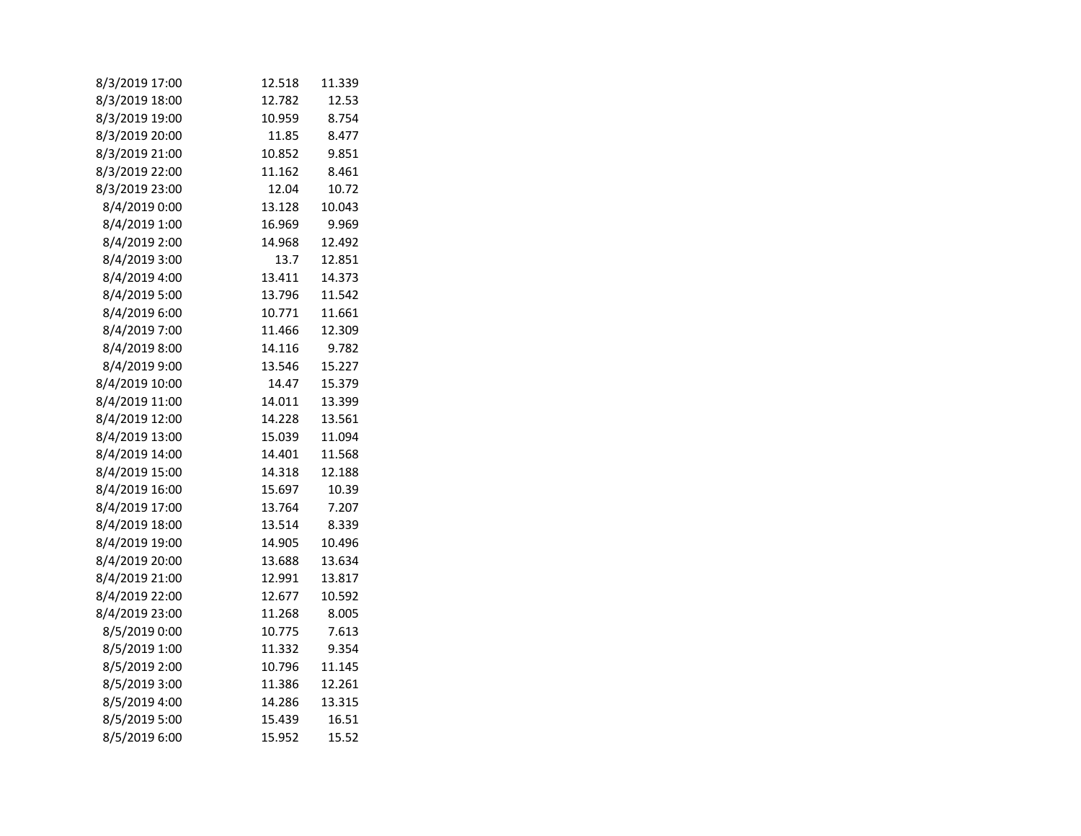| 8/3/2019 17:00 | 12.518 | 11.339 |
|----------------|--------|--------|
| 8/3/2019 18:00 | 12.782 | 12.53  |
| 8/3/2019 19:00 | 10.959 | 8.754  |
| 8/3/2019 20:00 | 11.85  | 8.477  |
| 8/3/2019 21:00 | 10.852 | 9.851  |
| 8/3/2019 22:00 | 11.162 | 8.461  |
| 8/3/2019 23:00 | 12.04  | 10.72  |
| 8/4/2019 0:00  | 13.128 | 10.043 |
| 8/4/2019 1:00  | 16.969 | 9.969  |
| 8/4/2019 2:00  | 14.968 | 12.492 |
| 8/4/2019 3:00  | 13.7   | 12.851 |
| 8/4/2019 4:00  | 13.411 | 14.373 |
| 8/4/2019 5:00  | 13.796 | 11.542 |
| 8/4/2019 6:00  | 10.771 | 11.661 |
| 8/4/2019 7:00  | 11.466 | 12.309 |
| 8/4/2019 8:00  | 14.116 | 9.782  |
| 8/4/2019 9:00  | 13.546 | 15.227 |
| 8/4/2019 10:00 | 14.47  | 15.379 |
| 8/4/2019 11:00 | 14.011 | 13.399 |
| 8/4/2019 12:00 | 14.228 | 13.561 |
| 8/4/2019 13:00 | 15.039 | 11.094 |
| 8/4/2019 14:00 | 14.401 | 11.568 |
| 8/4/2019 15:00 | 14.318 | 12.188 |
| 8/4/2019 16:00 | 15.697 | 10.39  |
| 8/4/2019 17:00 | 13.764 | 7.207  |
| 8/4/2019 18:00 | 13.514 | 8.339  |
| 8/4/2019 19:00 | 14.905 | 10.496 |
| 8/4/2019 20:00 | 13.688 | 13.634 |
| 8/4/2019 21:00 | 12.991 | 13.817 |
| 8/4/2019 22:00 | 12.677 | 10.592 |
| 8/4/2019 23:00 | 11.268 | 8.005  |
| 8/5/2019 0:00  | 10.775 | 7.613  |
| 8/5/2019 1:00  | 11.332 | 9.354  |
| 8/5/2019 2:00  | 10.796 | 11.145 |
| 8/5/2019 3:00  | 11.386 | 12.261 |
| 8/5/2019 4:00  | 14.286 | 13.315 |
| 8/5/2019 5:00  | 15.439 | 16.51  |
| 8/5/2019 6:00  | 15.952 | 15.52  |
|                |        |        |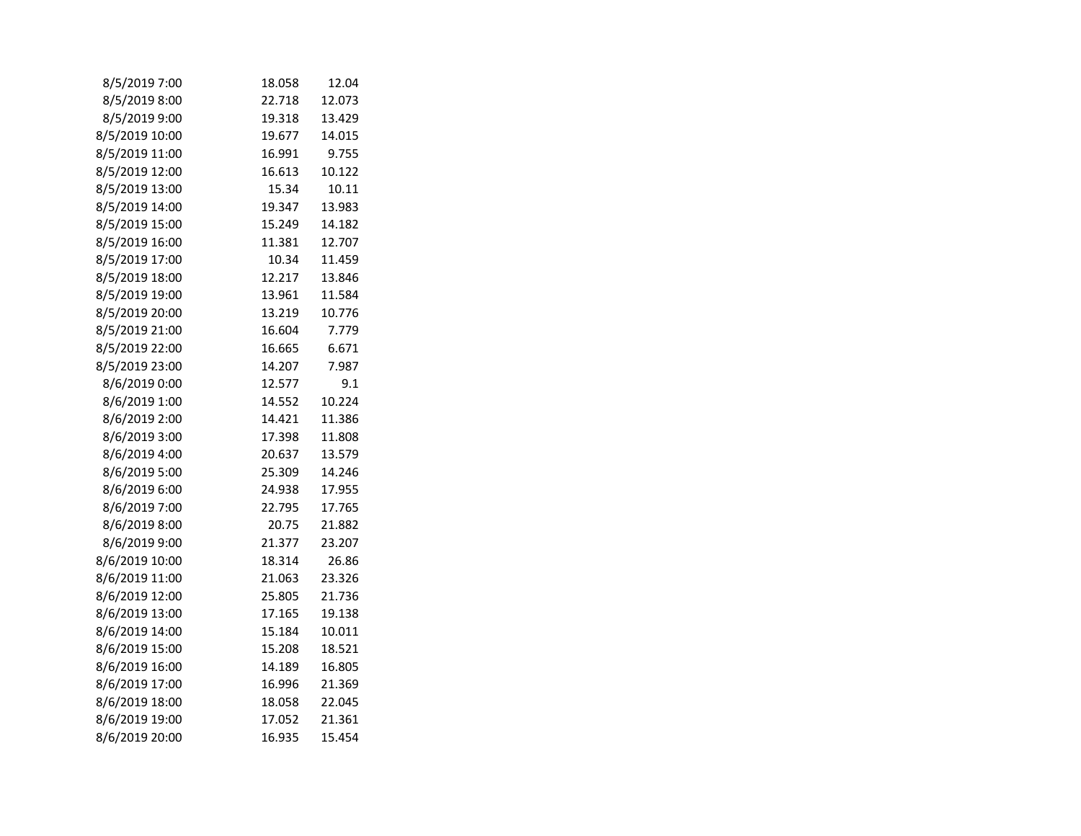| 8/5/2019 7:00  | 18.058 | 12.04  |  |
|----------------|--------|--------|--|
| 8/5/2019 8:00  | 22.718 | 12.073 |  |
| 8/5/2019 9:00  | 19.318 | 13.429 |  |
| 8/5/2019 10:00 | 19.677 | 14.015 |  |
| 8/5/2019 11:00 | 16.991 | 9.755  |  |
| 8/5/2019 12:00 | 16.613 | 10.122 |  |
| 8/5/2019 13:00 | 15.34  | 10.11  |  |
| 8/5/2019 14:00 | 19.347 | 13.983 |  |
| 8/5/2019 15:00 | 15.249 | 14.182 |  |
| 8/5/2019 16:00 | 11.381 | 12.707 |  |
| 8/5/2019 17:00 | 10.34  | 11.459 |  |
| 8/5/2019 18:00 | 12.217 | 13.846 |  |
| 8/5/2019 19:00 | 13.961 | 11.584 |  |
| 8/5/2019 20:00 | 13.219 | 10.776 |  |
| 8/5/2019 21:00 | 16.604 | 7.779  |  |
| 8/5/2019 22:00 | 16.665 | 6.671  |  |
| 8/5/2019 23:00 | 14.207 | 7.987  |  |
| 8/6/2019 0:00  | 12.577 | 9.1    |  |
| 8/6/2019 1:00  | 14.552 | 10.224 |  |
| 8/6/2019 2:00  | 14.421 | 11.386 |  |
| 8/6/2019 3:00  | 17.398 | 11.808 |  |
| 8/6/2019 4:00  | 20.637 | 13.579 |  |
| 8/6/2019 5:00  | 25.309 | 14.246 |  |
| 8/6/2019 6:00  | 24.938 | 17.955 |  |
| 8/6/2019 7:00  | 22.795 | 17.765 |  |
| 8/6/2019 8:00  | 20.75  | 21.882 |  |
| 8/6/2019 9:00  | 21.377 | 23.207 |  |
| 8/6/2019 10:00 | 18.314 | 26.86  |  |
| 8/6/2019 11:00 | 21.063 | 23.326 |  |
| 8/6/2019 12:00 | 25.805 | 21.736 |  |
| 8/6/2019 13:00 | 17.165 | 19.138 |  |
| 8/6/2019 14:00 | 15.184 | 10.011 |  |
| 8/6/2019 15:00 | 15.208 | 18.521 |  |
| 8/6/2019 16:00 | 14.189 | 16.805 |  |
| 8/6/2019 17:00 | 16.996 | 21.369 |  |
| 8/6/2019 18:00 | 18.058 | 22.045 |  |
| 8/6/2019 19:00 | 17.052 | 21.361 |  |
| 8/6/2019 20:00 | 16.935 | 15.454 |  |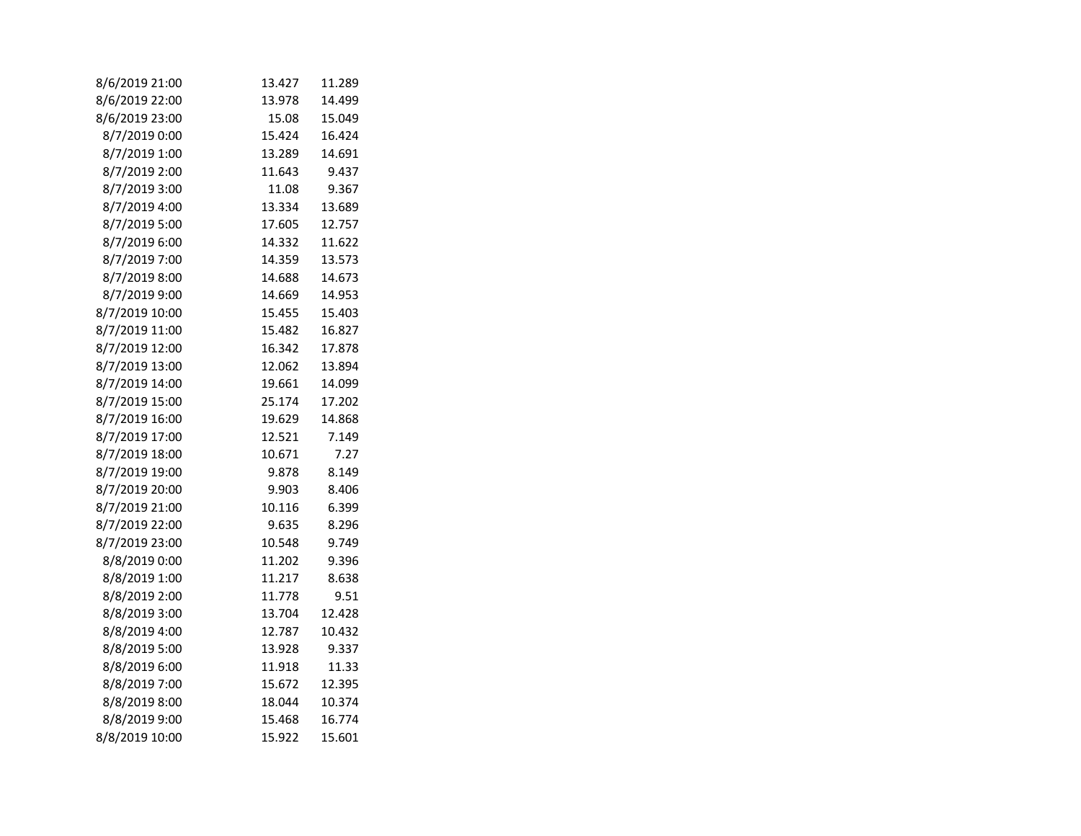| 8/6/2019 21:00 | 13.427 | 11.289 |
|----------------|--------|--------|
| 8/6/2019 22:00 | 13.978 | 14.499 |
| 8/6/2019 23:00 | 15.08  | 15.049 |
| 8/7/2019 0:00  | 15.424 | 16.424 |
| 8/7/2019 1:00  | 13.289 | 14.691 |
| 8/7/2019 2:00  | 11.643 | 9.437  |
| 8/7/2019 3:00  | 11.08  | 9.367  |
| 8/7/2019 4:00  | 13.334 | 13.689 |
| 8/7/2019 5:00  | 17.605 | 12.757 |
| 8/7/2019 6:00  | 14.332 | 11.622 |
| 8/7/2019 7:00  | 14.359 | 13.573 |
| 8/7/2019 8:00  | 14.688 | 14.673 |
| 8/7/2019 9:00  | 14.669 | 14.953 |
| 8/7/2019 10:00 | 15.455 | 15.403 |
| 8/7/2019 11:00 | 15.482 | 16.827 |
| 8/7/2019 12:00 | 16.342 | 17.878 |
| 8/7/2019 13:00 | 12.062 | 13.894 |
| 8/7/2019 14:00 | 19.661 | 14.099 |
| 8/7/2019 15:00 | 25.174 | 17.202 |
| 8/7/2019 16:00 | 19.629 | 14.868 |
| 8/7/2019 17:00 | 12.521 | 7.149  |
| 8/7/2019 18:00 | 10.671 | 7.27   |
| 8/7/2019 19:00 | 9.878  | 8.149  |
| 8/7/2019 20:00 | 9.903  | 8.406  |
| 8/7/2019 21:00 | 10.116 | 6.399  |
| 8/7/2019 22:00 | 9.635  | 8.296  |
| 8/7/2019 23:00 | 10.548 | 9.749  |
| 8/8/2019 0:00  | 11.202 | 9.396  |
| 8/8/2019 1:00  | 11.217 | 8.638  |
| 8/8/2019 2:00  | 11.778 | 9.51   |
| 8/8/2019 3:00  | 13.704 | 12.428 |
| 8/8/2019 4:00  | 12.787 | 10.432 |
| 8/8/2019 5:00  | 13.928 | 9.337  |
| 8/8/2019 6:00  | 11.918 | 11.33  |
| 8/8/2019 7:00  | 15.672 | 12.395 |
| 8/8/2019 8:00  | 18.044 | 10.374 |
| 8/8/2019 9:00  | 15.468 | 16.774 |
| 8/8/2019 10:00 | 15.922 | 15.601 |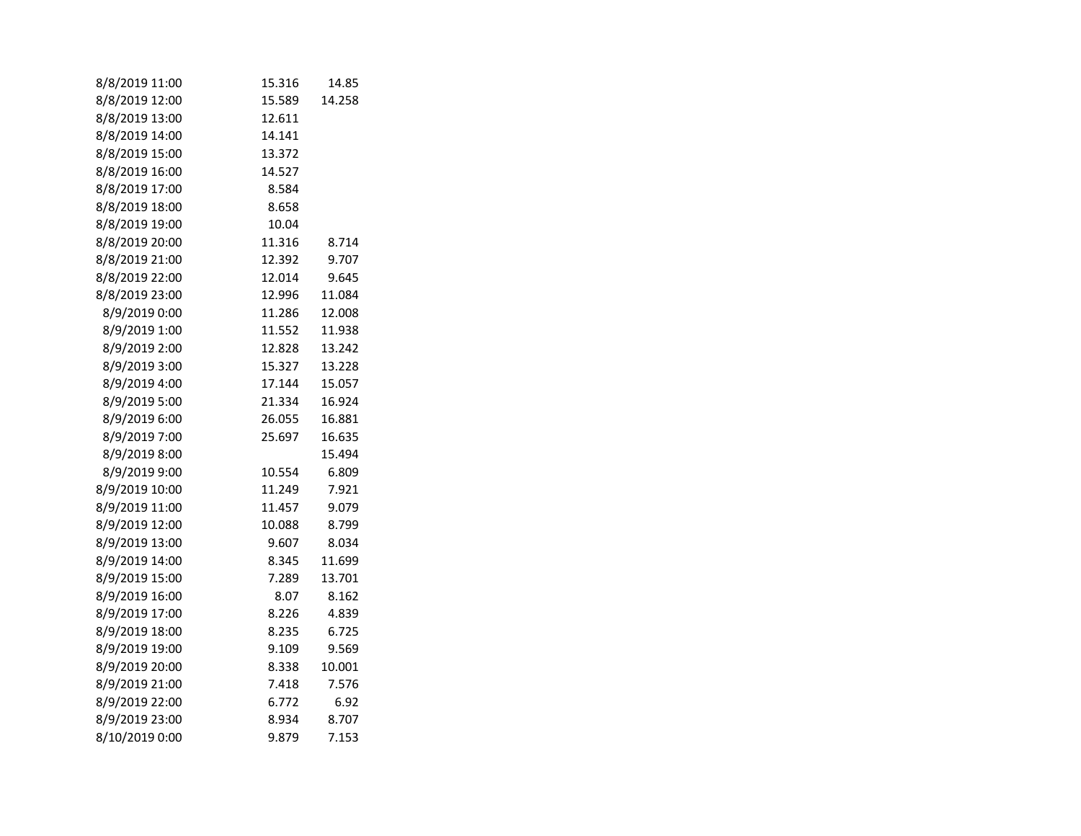| 8/8/2019 11:00 | 15.316 | 14.85  |
|----------------|--------|--------|
| 8/8/2019 12:00 | 15.589 | 14.258 |
| 8/8/2019 13:00 | 12.611 |        |
| 8/8/2019 14:00 | 14.141 |        |
| 8/8/2019 15:00 | 13.372 |        |
| 8/8/2019 16:00 | 14.527 |        |
| 8/8/2019 17:00 | 8.584  |        |
| 8/8/2019 18:00 | 8.658  |        |
| 8/8/2019 19:00 | 10.04  |        |
| 8/8/2019 20:00 | 11.316 | 8.714  |
| 8/8/2019 21:00 | 12.392 | 9.707  |
| 8/8/2019 22:00 | 12.014 | 9.645  |
| 8/8/2019 23:00 | 12.996 | 11.084 |
| 8/9/2019 0:00  | 11.286 | 12.008 |
| 8/9/2019 1:00  | 11.552 | 11.938 |
| 8/9/2019 2:00  | 12.828 | 13.242 |
| 8/9/2019 3:00  | 15.327 | 13.228 |
| 8/9/2019 4:00  | 17.144 | 15.057 |
| 8/9/2019 5:00  | 21.334 | 16.924 |
| 8/9/2019 6:00  | 26.055 | 16.881 |
| 8/9/2019 7:00  | 25.697 | 16.635 |
| 8/9/2019 8:00  |        | 15.494 |
| 8/9/2019 9:00  | 10.554 | 6.809  |
| 8/9/2019 10:00 | 11.249 | 7.921  |
| 8/9/2019 11:00 | 11.457 | 9.079  |
| 8/9/2019 12:00 | 10.088 | 8.799  |
| 8/9/2019 13:00 | 9.607  | 8.034  |
| 8/9/2019 14:00 | 8.345  | 11.699 |
| 8/9/2019 15:00 | 7.289  | 13.701 |
| 8/9/2019 16:00 | 8.07   | 8.162  |
| 8/9/2019 17:00 | 8.226  | 4.839  |
| 8/9/2019 18:00 | 8.235  | 6.725  |
| 8/9/2019 19:00 | 9.109  | 9.569  |
| 8/9/2019 20:00 | 8.338  | 10.001 |
| 8/9/2019 21:00 | 7.418  | 7.576  |
| 8/9/2019 22:00 | 6.772  | 6.92   |
| 8/9/2019 23:00 | 8.934  | 8.707  |
| 8/10/2019 0:00 | 9.879  | 7.153  |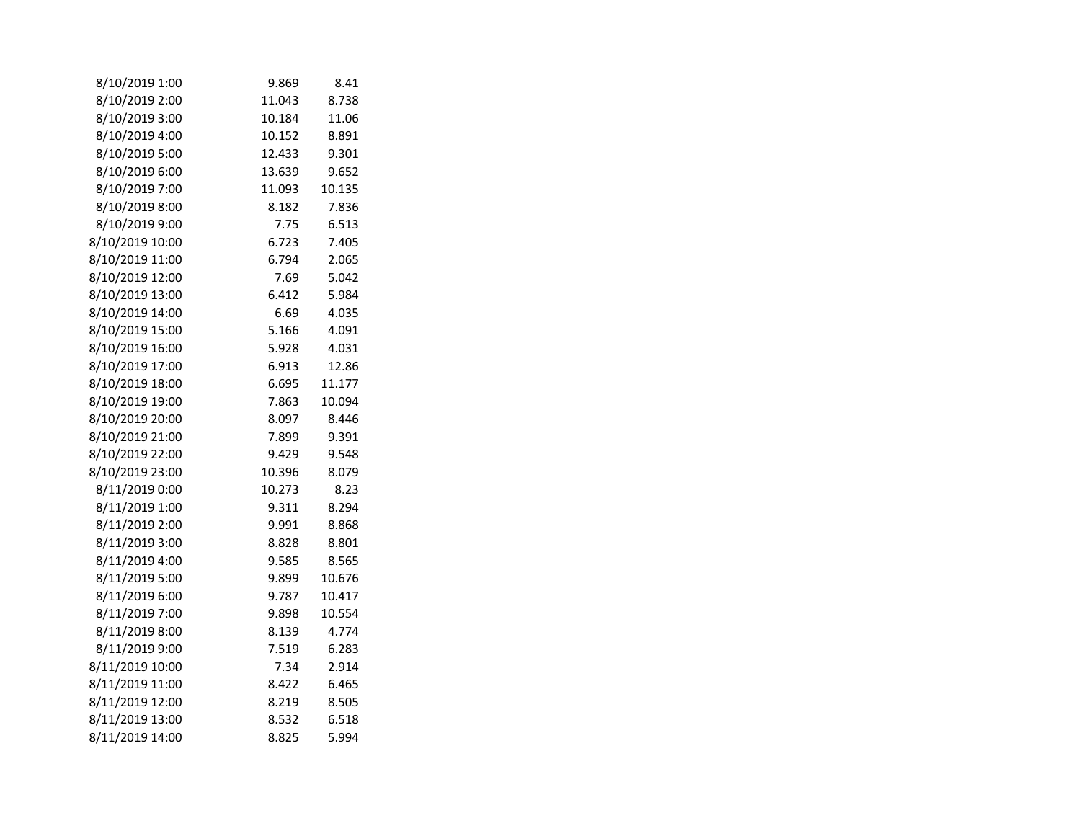| 8/10/2019 1:00  | 9.869  | 8.41   |  |
|-----------------|--------|--------|--|
| 8/10/2019 2:00  | 11.043 | 8.738  |  |
| 8/10/2019 3:00  | 10.184 | 11.06  |  |
| 8/10/2019 4:00  | 10.152 | 8.891  |  |
| 8/10/2019 5:00  | 12.433 | 9.301  |  |
| 8/10/2019 6:00  | 13.639 | 9.652  |  |
| 8/10/2019 7:00  | 11.093 | 10.135 |  |
| 8/10/2019 8:00  | 8.182  | 7.836  |  |
| 8/10/2019 9:00  | 7.75   | 6.513  |  |
| 8/10/2019 10:00 | 6.723  | 7.405  |  |
| 8/10/2019 11:00 | 6.794  | 2.065  |  |
| 8/10/2019 12:00 | 7.69   | 5.042  |  |
| 8/10/2019 13:00 | 6.412  | 5.984  |  |
| 8/10/2019 14:00 | 6.69   | 4.035  |  |
| 8/10/2019 15:00 | 5.166  | 4.091  |  |
| 8/10/2019 16:00 | 5.928  | 4.031  |  |
| 8/10/2019 17:00 | 6.913  | 12.86  |  |
| 8/10/2019 18:00 | 6.695  | 11.177 |  |
| 8/10/2019 19:00 | 7.863  | 10.094 |  |
| 8/10/2019 20:00 | 8.097  | 8.446  |  |
| 8/10/2019 21:00 | 7.899  | 9.391  |  |
| 8/10/2019 22:00 | 9.429  | 9.548  |  |
| 8/10/2019 23:00 | 10.396 | 8.079  |  |
| 8/11/2019 0:00  | 10.273 | 8.23   |  |
| 8/11/2019 1:00  | 9.311  | 8.294  |  |
| 8/11/2019 2:00  | 9.991  | 8.868  |  |
| 8/11/2019 3:00  | 8.828  | 8.801  |  |
| 8/11/2019 4:00  | 9.585  | 8.565  |  |
| 8/11/2019 5:00  | 9.899  | 10.676 |  |
| 8/11/2019 6:00  | 9.787  | 10.417 |  |
| 8/11/2019 7:00  | 9.898  | 10.554 |  |
| 8/11/2019 8:00  | 8.139  | 4.774  |  |
| 8/11/2019 9:00  | 7.519  | 6.283  |  |
| 8/11/2019 10:00 | 7.34   | 2.914  |  |
| 8/11/2019 11:00 | 8.422  | 6.465  |  |
| 8/11/2019 12:00 | 8.219  | 8.505  |  |
| 8/11/2019 13:00 | 8.532  | 6.518  |  |
| 8/11/2019 14:00 | 8.825  | 5.994  |  |